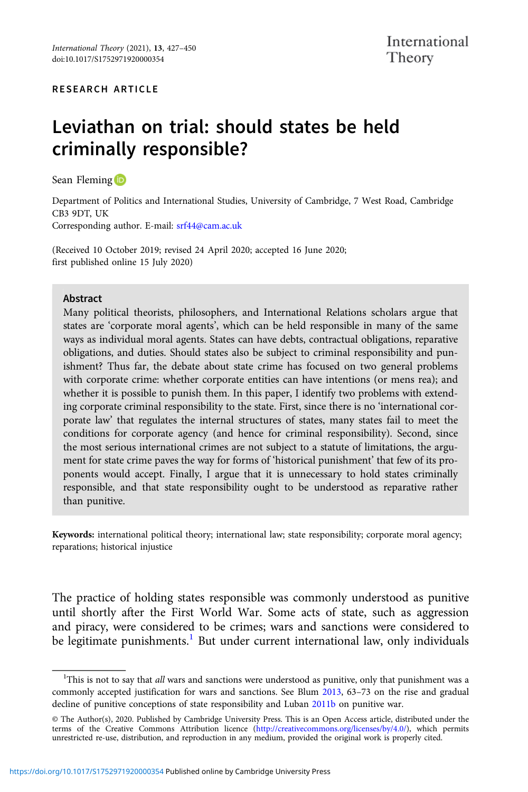#### RESEARCH ARTICLE

# Leviathan on trial: should states be held criminally responsible?

Sean Fleming **D** 

Department of Politics and International Studies, University of Cambridge, 7 West Road, Cambridge CB3 9DT, UK Corresponding author. E-mail: [srf44@cam.ac.uk](mailto:srf44@cam.ac.uk)

(Received 10 October 2019; revised 24 April 2020; accepted 16 June 2020; first published online 15 July 2020)

#### Abstract

Many political theorists, philosophers, and International Relations scholars argue that states are 'corporate moral agents', which can be held responsible in many of the same ways as individual moral agents. States can have debts, contractual obligations, reparative obligations, and duties. Should states also be subject to criminal responsibility and punishment? Thus far, the debate about state crime has focused on two general problems with corporate crime: whether corporate entities can have intentions (or mens rea); and whether it is possible to punish them. In this paper, I identify two problems with extending corporate criminal responsibility to the state. First, since there is no 'international corporate law' that regulates the internal structures of states, many states fail to meet the conditions for corporate agency (and hence for criminal responsibility). Second, since the most serious international crimes are not subject to a statute of limitations, the argument for state crime paves the way for forms of 'historical punishment' that few of its proponents would accept. Finally, I argue that it is unnecessary to hold states criminally responsible, and that state responsibility ought to be understood as reparative rather than punitive.

Keywords: international political theory; international law; state responsibility; corporate moral agency; reparations; historical injustice

The practice of holding states responsible was commonly understood as punitive until shortly after the First World War. Some acts of state, such as aggression and piracy, were considered to be crimes; wars and sanctions were considered to be legitimate punishments.<sup>1</sup> But under current international law, only individuals

<sup>&</sup>lt;sup>1</sup>This is not to say that all wars and sanctions were understood as punitive, only that punishment was a commonly accepted justification for wars and sanctions. See Blum [2013](#page-20-0), 63–73 on the rise and gradual decline of punitive conceptions of state responsibility and Luban [2011b](#page-22-0) on punitive war.

<sup>©</sup> The Author(s), 2020. Published by Cambridge University Press. This is an Open Access article, distributed under the terms of the Creative Commons Attribution licence ([http://creativecommons.org/licenses/by/4.0/\)](http://creativecommons.org/licenses/by/4.0/), which permits unrestricted re-use, distribution, and reproduction in any medium, provided the original work is properly cited.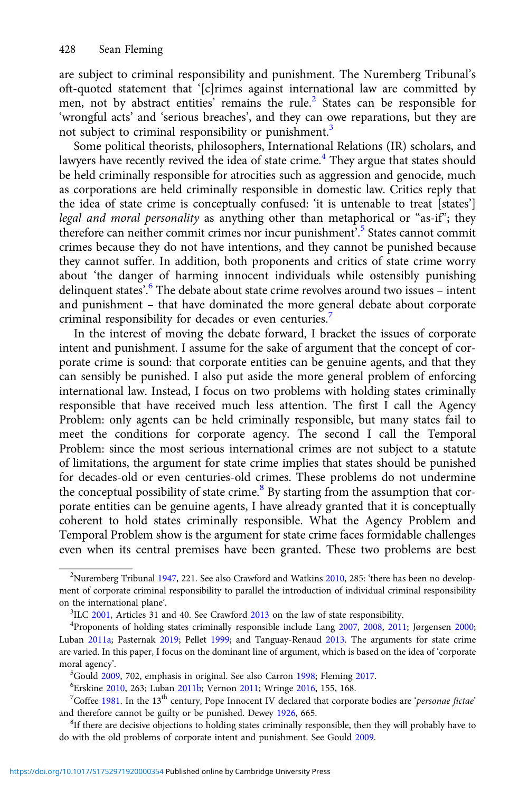are subject to criminal responsibility and punishment. The Nuremberg Tribunal's oft-quoted statement that '[c]rimes against international law are committed by men, not by abstract entities' remains the rule.<sup>2</sup> States can be responsible for 'wrongful acts' and 'serious breaches', and they can owe reparations, but they are not subject to criminal responsibility or punishment.<sup>3</sup>

Some political theorists, philosophers, International Relations (IR) scholars, and lawyers have recently revived the idea of state crime.<sup>4</sup> They argue that states should be held criminally responsible for atrocities such as aggression and genocide, much as corporations are held criminally responsible in domestic law. Critics reply that the idea of state crime is conceptually confused: 'it is untenable to treat [states'] legal and moral personality as anything other than metaphorical or "as-if"; they therefore can neither commit crimes nor incur punishment'. <sup>5</sup> States cannot commit crimes because they do not have intentions, and they cannot be punished because they cannot suffer. In addition, both proponents and critics of state crime worry about 'the danger of harming innocent individuals while ostensibly punishing delinquent states'. <sup>6</sup> The debate about state crime revolves around two issues – intent and punishment – that have dominated the more general debate about corporate criminal responsibility for decades or even centuries.<sup>7</sup>

In the interest of moving the debate forward, I bracket the issues of corporate intent and punishment. I assume for the sake of argument that the concept of corporate crime is sound: that corporate entities can be genuine agents, and that they can sensibly be punished. I also put aside the more general problem of enforcing international law. Instead, I focus on two problems with holding states criminally responsible that have received much less attention. The first I call the Agency Problem: only agents can be held criminally responsible, but many states fail to meet the conditions for corporate agency. The second I call the Temporal Problem: since the most serious international crimes are not subject to a statute of limitations, the argument for state crime implies that states should be punished for decades-old or even centuries-old crimes. These problems do not undermine the conceptual possibility of state crime.<sup>8</sup> By starting from the assumption that corporate entities can be genuine agents, I have already granted that it is conceptually coherent to hold states criminally responsible. What the Agency Problem and Temporal Problem show is the argument for state crime faces formidable challenges even when its central premises have been granted. These two problems are best

<sup>&</sup>lt;sup>2</sup>Nuremberg Tribunal [1947,](#page-22-0) 221. See also Crawford and Watkins [2010](#page-21-0), 285: 'there has been no development of corporate criminal responsibility to parallel the introduction of individual criminal responsibility on the international plane'.

 ${}^{3}$ ILC [2001](#page-21-0), Articles 31 and 40. See Crawford [2013](#page-21-0) on the law of state responsibility.

Proponents of holding states criminally responsible include Lang [2007,](#page-22-0) [2008,](#page-22-0) [2011;](#page-22-0) Jørgensen [2000;](#page-22-0) Luban [2011a;](#page-22-0) Pasternak [2019;](#page-22-0) Pellet [1999](#page-22-0); and Tanguay-Renaud [2013](#page-23-0). The arguments for state crime are varied. In this paper, I focus on the dominant line of argument, which is based on the idea of 'corporate moral agency'.

<sup>&</sup>lt;sup>5</sup>Gould [2009,](#page-21-0) 702, emphasis in original. See also Carron [1998](#page-21-0); Fleming [2017.](#page-21-0)

<sup>&</sup>lt;sup>6</sup>Erskine [2010,](#page-21-0) 263; Luban [2011b](#page-22-0); Vernon [2011;](#page-23-0) Wringe [2016](#page-23-0), 155, 168.

<sup>&</sup>lt;sup>7</sup>Coffee [1981](#page-21-0). In the 13<sup>th</sup> century, Pope Innocent IV declared that corporate bodies are 'personae fictae' and therefore cannot be guilty or be punished. Dewey [1926](#page-21-0), 665.

<sup>&</sup>lt;sup>8</sup>If there are decisive objections to holding states criminally responsible, then they will probably have to do with the old problems of corporate intent and punishment. See Gould [2009.](#page-21-0)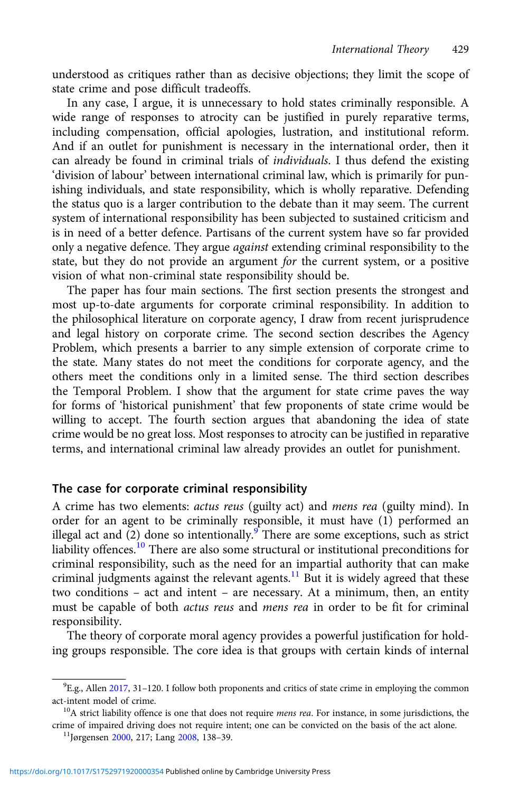understood as critiques rather than as decisive objections; they limit the scope of state crime and pose difficult tradeoffs.

In any case, I argue, it is unnecessary to hold states criminally responsible. A wide range of responses to atrocity can be justified in purely reparative terms, including compensation, official apologies, lustration, and institutional reform. And if an outlet for punishment is necessary in the international order, then it can already be found in criminal trials of individuals. I thus defend the existing 'division of labour' between international criminal law, which is primarily for punishing individuals, and state responsibility, which is wholly reparative. Defending the status quo is a larger contribution to the debate than it may seem. The current system of international responsibility has been subjected to sustained criticism and is in need of a better defence. Partisans of the current system have so far provided only a negative defence. They argue against extending criminal responsibility to the state, but they do not provide an argument for the current system, or a positive vision of what non-criminal state responsibility should be.

The paper has four main sections. The first section presents the strongest and most up-to-date arguments for corporate criminal responsibility. In addition to the philosophical literature on corporate agency, I draw from recent jurisprudence and legal history on corporate crime. The second section describes the Agency Problem, which presents a barrier to any simple extension of corporate crime to the state. Many states do not meet the conditions for corporate agency, and the others meet the conditions only in a limited sense. The third section describes the Temporal Problem. I show that the argument for state crime paves the way for forms of 'historical punishment' that few proponents of state crime would be willing to accept. The fourth section argues that abandoning the idea of state crime would be no great loss. Most responses to atrocity can be justified in reparative terms, and international criminal law already provides an outlet for punishment.

#### The case for corporate criminal responsibility

A crime has two elements: actus reus (guilty act) and mens rea (guilty mind). In order for an agent to be criminally responsible, it must have (1) performed an illegal act and  $(2)$  done so intentionally.<sup>9</sup> There are some exceptions, such as strict liability offences.<sup>10</sup> There are also some structural or institutional preconditions for criminal responsibility, such as the need for an impartial authority that can make criminal judgments against the relevant agents.<sup>11</sup> But it is widely agreed that these two conditions – act and intent – are necessary. At a minimum, then, an entity must be capable of both actus reus and mens rea in order to be fit for criminal responsibility.

The theory of corporate moral agency provides a powerful justification for holding groups responsible. The core idea is that groups with certain kinds of internal

<sup>&</sup>lt;sup>9</sup>E.g., Allen [2017](#page-20-0), 31-120. I follow both proponents and critics of state crime in employing the common act-intent model of crime.<br><sup>10</sup>A strict liability offence is one that does not require *mens rea*. For instance, in some jurisdictions, the

crime of impaired driving does not require intent; one can be convicted on the basis of the act alone.<br><sup>11</sup>Jørgensen [2000,](#page-22-0) 217; Lang [2008,](#page-22-0) 138–39.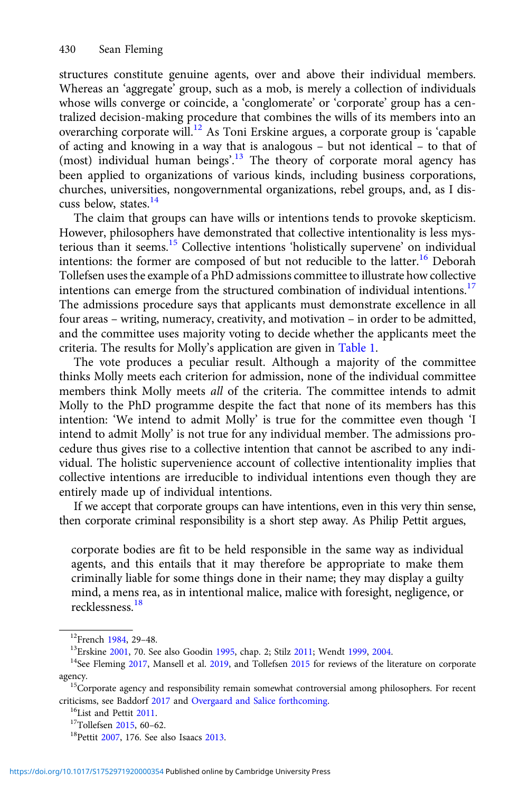structures constitute genuine agents, over and above their individual members. Whereas an 'aggregate' group, such as a mob, is merely a collection of individuals whose wills converge or coincide, a 'conglomerate' or 'corporate' group has a centralized decision-making procedure that combines the wills of its members into an overarching corporate will.<sup>12</sup> As Toni Erskine argues, a corporate group is 'capable of acting and knowing in a way that is analogous – but not identical – to that of (most) individual human beings'. <sup>13</sup> The theory of corporate moral agency has been applied to organizations of various kinds, including business corporations, churches, universities, nongovernmental organizations, rebel groups, and, as I discuss below, states.<sup>14</sup>

The claim that groups can have wills or intentions tends to provoke skepticism. However, philosophers have demonstrated that collective intentionality is less mysterious than it seems.<sup>15</sup> Collective intentions 'holistically supervene' on individual intentions: the former are composed of but not reducible to the latter.<sup>16</sup> Deborah Tollefsen uses the example of a PhD admissions committee to illustrate how collective intentions can emerge from the structured combination of individual intentions.<sup>17</sup> The admissions procedure says that applicants must demonstrate excellence in all four areas – writing, numeracy, creativity, and motivation – in order to be admitted, and the committee uses majority voting to decide whether the applicants meet the criteria. The results for Molly's application are given in [Table 1](#page-4-0).

The vote produces a peculiar result. Although a majority of the committee thinks Molly meets each criterion for admission, none of the individual committee members think Molly meets all of the criteria. The committee intends to admit Molly to the PhD programme despite the fact that none of its members has this intention: 'We intend to admit Molly' is true for the committee even though 'I intend to admit Molly' is not true for any individual member. The admissions procedure thus gives rise to a collective intention that cannot be ascribed to any individual. The holistic supervenience account of collective intentionality implies that collective intentions are irreducible to individual intentions even though they are entirely made up of individual intentions.

If we accept that corporate groups can have intentions, even in this very thin sense, then corporate criminal responsibility is a short step away. As Philip Pettit argues,

corporate bodies are fit to be held responsible in the same way as individual agents, and this entails that it may therefore be appropriate to make them criminally liable for some things done in their name; they may display a guilty mind, a mens rea, as in intentional malice, malice with foresight, negligence, or recklessness.<sup>18</sup>

<sup>&</sup>lt;sup>12</sup>French [1984,](#page-21-0) 29–48.<br><sup>13</sup>Erskine [2001,](#page-21-0) 70. See also Goodin [1995,](#page-21-0) chap. 2; Stilz [2011](#page-23-0); Wendt [1999](#page-23-0), [2004.](#page-23-0)<br><sup>14</sup>See Fleming [2017](#page-21-0), Mansell et al. [2019,](#page-22-0) and Tollefsen [2015](#page-23-0) for reviews of the literature on corporate

agency.  $15$ Corporate agency and responsibility remain somewhat controversial among philosophers. For recent criticisms, see Baddorf [2017](#page-20-0) and [Overgaard and Salice forthcoming](#page-22-0).<br><sup>16</sup>List and Pettit [2011.](#page-22-0)<br><sup>17</sup>Tollefsen [2015,](#page-23-0) 60–62.<br><sup>18</sup>Pettit [2007,](#page-22-0) 176. See also Isaacs [2013.](#page-22-0)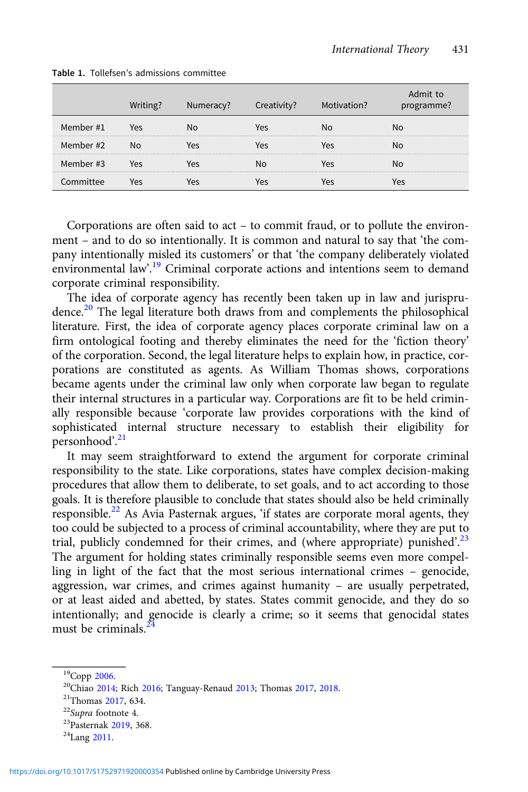|           |     | Numeracy? | Creativity? | Motivation? | iit to<br>programme? |
|-----------|-----|-----------|-------------|-------------|----------------------|
| Member #1 | ۵۹  |           | /es         |             | No                   |
| Member #2 |     |           | ⁄ρς         |             |                      |
| Member #3 | res |           |             |             | No                   |
|           |     |           |             |             |                      |

#### <span id="page-4-0"></span>Table 1. Tollefsen's admissions committee

Corporations are often said to act – to commit fraud, or to pollute the environment – and to do so intentionally. It is common and natural to say that 'the company intentionally misled its customers' or that 'the company deliberately violated environmental law'.<sup>19</sup> Criminal corporate actions and intentions seem to demand corporate criminal responsibility.

The idea of corporate agency has recently been taken up in law and jurisprudence.<sup>20</sup> The legal literature both draws from and complements the philosophical literature. First, the idea of corporate agency places corporate criminal law on a firm ontological footing and thereby eliminates the need for the 'fiction theory' of the corporation. Second, the legal literature helps to explain how, in practice, corporations are constituted as agents. As William Thomas shows, corporations became agents under the criminal law only when corporate law began to regulate their internal structures in a particular way. Corporations are fit to be held criminally responsible because 'corporate law provides corporations with the kind of sophisticated internal structure necessary to establish their eligibility for personhood'. 21

It may seem straightforward to extend the argument for corporate criminal responsibility to the state. Like corporations, states have complex decision-making procedures that allow them to deliberate, to set goals, and to act according to those goals. It is therefore plausible to conclude that states should also be held criminally responsible.<sup>22</sup> As Avia Pasternak argues, 'if states are corporate moral agents, they too could be subjected to a process of criminal accountability, where they are put to trial, publicly condemned for their crimes, and (where appropriate) punished'.<sup>23</sup> The argument for holding states criminally responsible seems even more compelling in light of the fact that the most serious international crimes – genocide, aggression, war crimes, and crimes against humanity – are usually perpetrated, or at least aided and abetted, by states. States commit genocide, and they do so intentionally; and genocide is clearly a crime; so it seems that genocidal states must be criminals.<sup>24</sup>

<sup>&</sup>lt;sup>19</sup>Copp [2006.](#page-21-0)<br><sup>20</sup>Chiao [2014](#page-21-0); Rich [2016](#page-23-0); Tanguay-Renaud [2013;](#page-23-0) Thomas [2017](#page-23-0), [2018.](#page-23-0)<br><sup>21</sup>Thomas 2017, 634.<br><sup>22</sup>Supra footnote 4.<br><sup>23</sup>Pasternak [2019](#page-22-0), 368.<br><sup>24</sup>Lang [2011.](#page-22-0)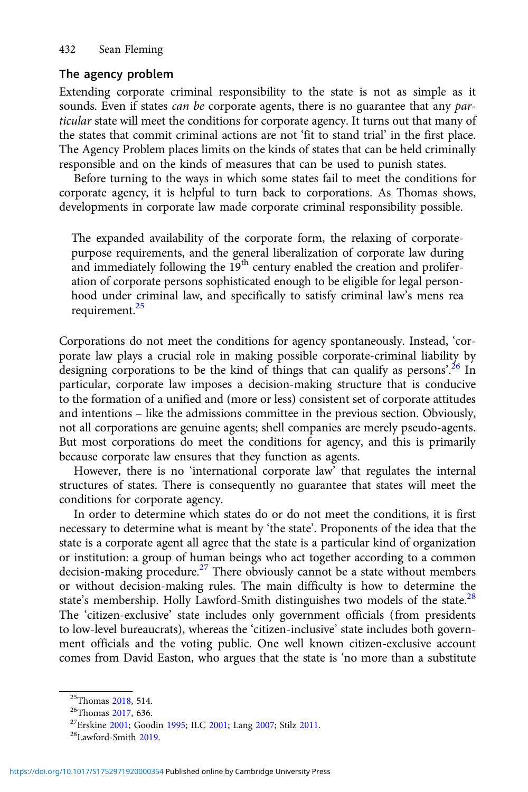#### The agency problem

Extending corporate criminal responsibility to the state is not as simple as it sounds. Even if states *can be* corporate agents, there is no guarantee that any *par*ticular state will meet the conditions for corporate agency. It turns out that many of the states that commit criminal actions are not 'fit to stand trial' in the first place. The Agency Problem places limits on the kinds of states that can be held criminally responsible and on the kinds of measures that can be used to punish states.

Before turning to the ways in which some states fail to meet the conditions for corporate agency, it is helpful to turn back to corporations. As Thomas shows, developments in corporate law made corporate criminal responsibility possible.

The expanded availability of the corporate form, the relaxing of corporatepurpose requirements, and the general liberalization of corporate law during and immediately following the 19<sup>th</sup> century enabled the creation and proliferation of corporate persons sophisticated enough to be eligible for legal personhood under criminal law, and specifically to satisfy criminal law's mens rea requirement.<sup>25</sup>

Corporations do not meet the conditions for agency spontaneously. Instead, 'corporate law plays a crucial role in making possible corporate-criminal liability by designing corporations to be the kind of things that can qualify as persons'.<sup>26</sup> In particular, corporate law imposes a decision-making structure that is conducive to the formation of a unified and (more or less) consistent set of corporate attitudes and intentions – like the admissions committee in the previous section. Obviously, not all corporations are genuine agents; shell companies are merely pseudo-agents. But most corporations do meet the conditions for agency, and this is primarily because corporate law ensures that they function as agents.

However, there is no 'international corporate law' that regulates the internal structures of states. There is consequently no guarantee that states will meet the conditions for corporate agency.

In order to determine which states do or do not meet the conditions, it is first necessary to determine what is meant by 'the state'. Proponents of the idea that the state is a corporate agent all agree that the state is a particular kind of organization or institution: a group of human beings who act together according to a common decision-making procedure.<sup>27</sup> There obviously cannot be a state without members or without decision-making rules. The main difficulty is how to determine the state's membership. Holly Lawford-Smith distinguishes two models of the state.<sup>28</sup> The 'citizen-exclusive' state includes only government officials (from presidents to low-level bureaucrats), whereas the 'citizen-inclusive' state includes both government officials and the voting public. One well known citizen-exclusive account comes from David Easton, who argues that the state is 'no more than a substitute

<sup>&</sup>lt;sup>25</sup>Thomas [2018,](#page-23-0) 514.<br><sup>26</sup>Thomas [2017,](#page-23-0) 636.<br><sup>27</sup>Erskine [2001;](#page-21-0) Goodin [1995](#page-21-0); ILC 2001; Lang [2007;](#page-22-0) Stilz [2011.](#page-23-0)<br><sup>28</sup>Lawford-Smith [2019.](#page-22-0)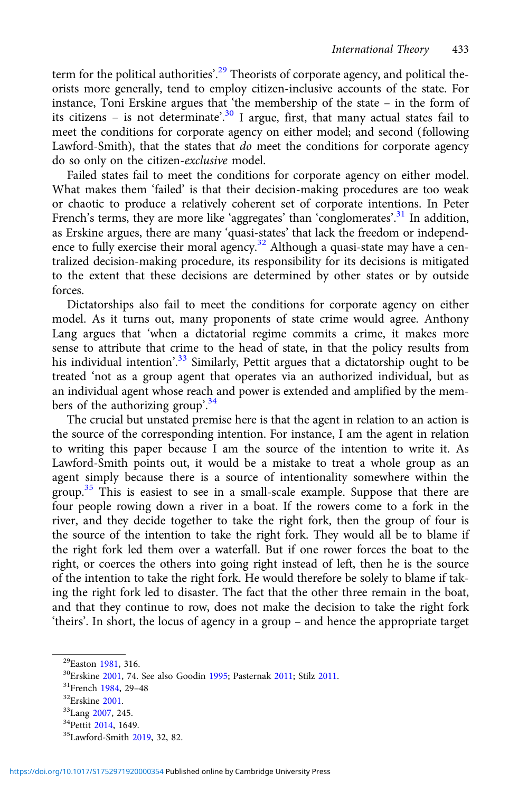term for the political authorities'.<sup>29</sup> Theorists of corporate agency, and political theorists more generally, tend to employ citizen-inclusive accounts of the state. For instance, Toni Erskine argues that 'the membership of the state – in the form of its citizens - is not determinate'.<sup>30</sup> I argue, first, that many actual states fail to meet the conditions for corporate agency on either model; and second (following Lawford-Smith), that the states that do meet the conditions for corporate agency do so only on the citizen-exclusive model.

Failed states fail to meet the conditions for corporate agency on either model. What makes them 'failed' is that their decision-making procedures are too weak or chaotic to produce a relatively coherent set of corporate intentions. In Peter French's terms, they are more like 'aggregates' than 'conglomerates'.<sup>31</sup> In addition, as Erskine argues, there are many 'quasi-states' that lack the freedom or independence to fully exercise their moral agency.<sup>32</sup> Although a quasi-state may have a centralized decision-making procedure, its responsibility for its decisions is mitigated to the extent that these decisions are determined by other states or by outside forces.

Dictatorships also fail to meet the conditions for corporate agency on either model. As it turns out, many proponents of state crime would agree. Anthony Lang argues that 'when a dictatorial regime commits a crime, it makes more sense to attribute that crime to the head of state, in that the policy results from his individual intention'.<sup>33</sup> Similarly, Pettit argues that a dictatorship ought to be treated 'not as a group agent that operates via an authorized individual, but as an individual agent whose reach and power is extended and amplified by the members of the authorizing group'.<sup>34</sup>

The crucial but unstated premise here is that the agent in relation to an action is the source of the corresponding intention. For instance, I am the agent in relation to writing this paper because I am the source of the intention to write it. As Lawford-Smith points out, it would be a mistake to treat a whole group as an agent simply because there is a source of intentionality somewhere within the group.<sup>35</sup> This is easiest to see in a small-scale example. Suppose that there are four people rowing down a river in a boat. If the rowers come to a fork in the river, and they decide together to take the right fork, then the group of four is the source of the intention to take the right fork. They would all be to blame if the right fork led them over a waterfall. But if one rower forces the boat to the right, or coerces the others into going right instead of left, then he is the source of the intention to take the right fork. He would therefore be solely to blame if taking the right fork led to disaster. The fact that the other three remain in the boat, and that they continue to row, does not make the decision to take the right fork 'theirs'. In short, the locus of agency in a group – and hence the appropriate target

<sup>&</sup>lt;sup>29</sup>Easton [1981,](#page-21-0) 316.<br><sup>30</sup>Erskine [2001](#page-21-0), 74. See also Goodin [1995;](#page-21-0) Pasternak [2011](#page-22-0); Stilz [2011.](#page-23-0)<br><sup>31</sup>French [1984](#page-21-0), 29–48<br><sup>32</sup>Erskine 2001.<br><sup>33</sup>Lang [2007,](#page-22-0) 245.<br><sup>34</sup>Pettit [2014](#page-23-0), 1649.<br><sup>35</sup>Lawford-Smith [2019](#page-22-0), 32, 82.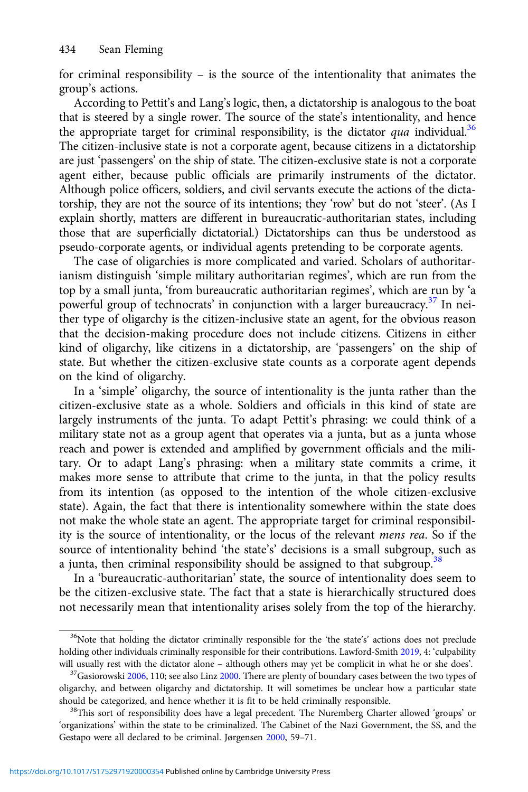for criminal responsibility – is the source of the intentionality that animates the group's actions.

According to Pettit's and Lang's logic, then, a dictatorship is analogous to the boat that is steered by a single rower. The source of the state's intentionality, and hence the appropriate target for criminal responsibility, is the dictator qua individual.<sup>36</sup> The citizen-inclusive state is not a corporate agent, because citizens in a dictatorship are just 'passengers' on the ship of state. The citizen-exclusive state is not a corporate agent either, because public officials are primarily instruments of the dictator. Although police officers, soldiers, and civil servants execute the actions of the dictatorship, they are not the source of its intentions; they 'row' but do not 'steer'. (As I explain shortly, matters are different in bureaucratic-authoritarian states, including those that are superficially dictatorial.) Dictatorships can thus be understood as pseudo-corporate agents, or individual agents pretending to be corporate agents.

The case of oligarchies is more complicated and varied. Scholars of authoritarianism distinguish 'simple military authoritarian regimes', which are run from the top by a small junta, 'from bureaucratic authoritarian regimes', which are run by 'a powerful group of technocrats' in conjunction with a larger bureaucracy.<sup>37</sup> In neither type of oligarchy is the citizen-inclusive state an agent, for the obvious reason that the decision-making procedure does not include citizens. Citizens in either kind of oligarchy, like citizens in a dictatorship, are 'passengers' on the ship of state. But whether the citizen-exclusive state counts as a corporate agent depends on the kind of oligarchy.

In a 'simple' oligarchy, the source of intentionality is the junta rather than the citizen-exclusive state as a whole. Soldiers and officials in this kind of state are largely instruments of the junta. To adapt Pettit's phrasing: we could think of a military state not as a group agent that operates via a junta, but as a junta whose reach and power is extended and amplified by government officials and the military. Or to adapt Lang's phrasing: when a military state commits a crime, it makes more sense to attribute that crime to the junta, in that the policy results from its intention (as opposed to the intention of the whole citizen-exclusive state). Again, the fact that there is intentionality somewhere within the state does not make the whole state an agent. The appropriate target for criminal responsibility is the source of intentionality, or the locus of the relevant mens rea. So if the source of intentionality behind 'the state's' decisions is a small subgroup, such as a junta, then criminal responsibility should be assigned to that subgroup.<sup>38</sup>

In a 'bureaucratic-authoritarian' state, the source of intentionality does seem to be the citizen-exclusive state. The fact that a state is hierarchically structured does not necessarily mean that intentionality arises solely from the top of the hierarchy.

<sup>&</sup>lt;sup>36</sup>Note that holding the dictator criminally responsible for the 'the state's' actions does not preclude holding other individuals criminally responsible for their contributions. Lawford-Smith [2019](#page-22-0), 4: 'culpability will usually rest with the dictator alone – although others may yet be complicit in what he or she does'.  $\frac{37}{9}$ Gasiorowski [2006](#page-21-0), 110; see also Linz [2000.](#page-22-0) There are plenty of boundary cases between the two types of

oligarchy, and between oligarchy and dictatorship. It will sometimes be unclear how a particular state should be categorized, and hence whether it is fit to be held criminally responsible.<br><sup>38</sup>This sort of responsibility does have a legal precedent. The Nuremberg Charter allowed 'groups' or

<sup>&#</sup>x27;organizations' within the state to be criminalized. The Cabinet of the Nazi Government, the SS, and the Gestapo were all declared to be criminal. Jørgensen [2000](#page-22-0), 59–71.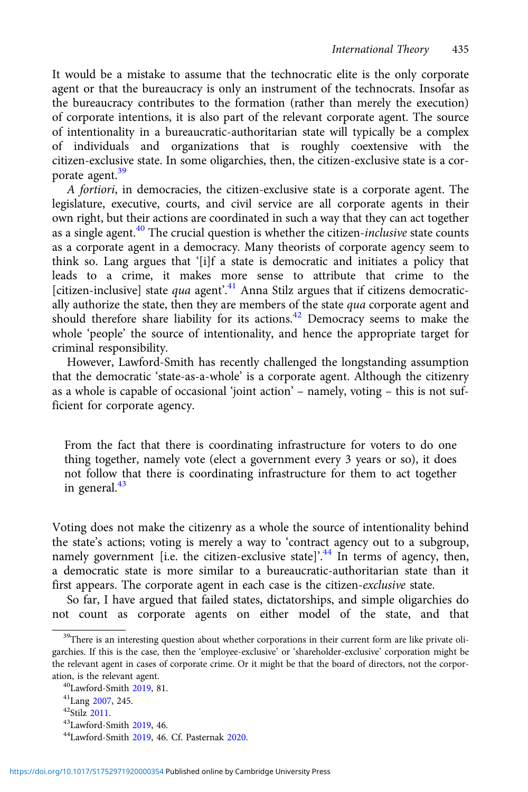It would be a mistake to assume that the technocratic elite is the only corporate agent or that the bureaucracy is only an instrument of the technocrats. Insofar as the bureaucracy contributes to the formation (rather than merely the execution) of corporate intentions, it is also part of the relevant corporate agent. The source of intentionality in a bureaucratic-authoritarian state will typically be a complex of individuals and organizations that is roughly coextensive with the citizen-exclusive state. In some oligarchies, then, the citizen-exclusive state is a corporate agent.<sup>39</sup>

A fortiori, in democracies, the citizen-exclusive state is a corporate agent. The legislature, executive, courts, and civil service are all corporate agents in their own right, but their actions are coordinated in such a way that they can act together as a single agent.<sup>40</sup> The crucial question is whether the citizen-inclusive state counts as a corporate agent in a democracy. Many theorists of corporate agency seem to think so. Lang argues that '[i]f a state is democratic and initiates a policy that leads to a crime, it makes more sense to attribute that crime to the [citizen-inclusive] state qua agent'.<sup>41</sup> Anna Stilz argues that if citizens democratically authorize the state, then they are members of the state  $qua$  corporate agent and should therefore share liability for its actions.<sup>42</sup> Democracy seems to make the whole 'people' the source of intentionality, and hence the appropriate target for criminal responsibility.

However, Lawford-Smith has recently challenged the longstanding assumption that the democratic 'state-as-a-whole' is a corporate agent. Although the citizenry as a whole is capable of occasional 'joint action' – namely, voting – this is not sufficient for corporate agency.

From the fact that there is coordinating infrastructure for voters to do one thing together, namely vote (elect a government every 3 years or so), it does not follow that there is coordinating infrastructure for them to act together in general.<sup>43</sup>

Voting does not make the citizenry as a whole the source of intentionality behind the state's actions; voting is merely a way to 'contract agency out to a subgroup, namely government [i.e. the citizen-exclusive state]'.<sup>44</sup> In terms of agency, then, a democratic state is more similar to a bureaucratic-authoritarian state than it first appears. The corporate agent in each case is the citizen-exclusive state.

So far, I have argued that failed states, dictatorships, and simple oligarchies do not count as corporate agents on either model of the state, and that

<sup>&</sup>lt;sup>39</sup>There is an interesting question about whether corporations in their current form are like private oligarchies. If this is the case, then the 'employee-exclusive' or 'shareholder-exclusive' corporation might be the relevant agent in cases of corporate crime. Or it might be that the board of directors, not the corporation, is the relevant agent.<br>  $^{40}$ Lawford-Smith [2019](#page-22-0), 81.<br>  $^{41}$ Lang [2007,](#page-22-0) 245.<br>  $^{42}$ Stilz [2011.](#page-23-0)<br>  $^{43}$ Lawford-Smith 2019, 46. Cf. Pasternak [2020.](#page-22-0)<br>  $^{44}$ Lawford-Smith 2019, 46. Cf. Pasternak 2020.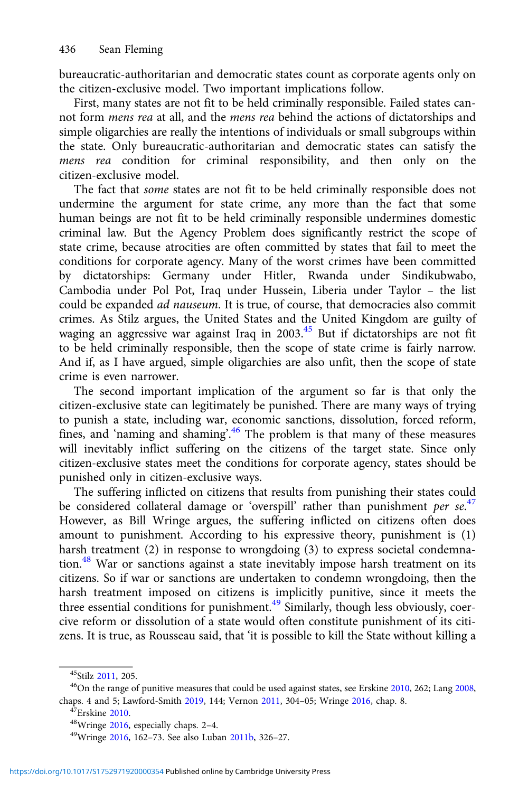bureaucratic-authoritarian and democratic states count as corporate agents only on the citizen-exclusive model. Two important implications follow.

First, many states are not fit to be held criminally responsible. Failed states cannot form mens rea at all, and the mens rea behind the actions of dictatorships and simple oligarchies are really the intentions of individuals or small subgroups within the state. Only bureaucratic-authoritarian and democratic states can satisfy the mens rea condition for criminal responsibility, and then only on the citizen-exclusive model.

The fact that some states are not fit to be held criminally responsible does not undermine the argument for state crime, any more than the fact that some human beings are not fit to be held criminally responsible undermines domestic criminal law. But the Agency Problem does significantly restrict the scope of state crime, because atrocities are often committed by states that fail to meet the conditions for corporate agency. Many of the worst crimes have been committed by dictatorships: Germany under Hitler, Rwanda under Sindikubwabo, Cambodia under Pol Pot, Iraq under Hussein, Liberia under Taylor – the list could be expanded ad nauseum. It is true, of course, that democracies also commit crimes. As Stilz argues, the United States and the United Kingdom are guilty of waging an aggressive war against Iraq in 2003.<sup>45</sup> But if dictatorships are not fit to be held criminally responsible, then the scope of state crime is fairly narrow. And if, as I have argued, simple oligarchies are also unfit, then the scope of state crime is even narrower.

The second important implication of the argument so far is that only the citizen-exclusive state can legitimately be punished. There are many ways of trying to punish a state, including war, economic sanctions, dissolution, forced reform, fines, and 'naming and shaming'.<sup>46</sup> The problem is that many of these measures will inevitably inflict suffering on the citizens of the target state. Since only citizen-exclusive states meet the conditions for corporate agency, states should be punished only in citizen-exclusive ways.

The suffering inflicted on citizens that results from punishing their states could be considered collateral damage or 'overspill' rather than punishment per se.<sup>47</sup> However, as Bill Wringe argues, the suffering inflicted on citizens often does amount to punishment. According to his expressive theory, punishment is (1) harsh treatment (2) in response to wrongdoing (3) to express societal condemnation.<sup>48</sup> War or sanctions against a state inevitably impose harsh treatment on its citizens. So if war or sanctions are undertaken to condemn wrongdoing, then the harsh treatment imposed on citizens is implicitly punitive, since it meets the three essential conditions for punishment.<sup>49</sup> Similarly, though less obviously, coercive reform or dissolution of a state would often constitute punishment of its citizens. It is true, as Rousseau said, that 'it is possible to kill the State without killing a

<sup>&</sup>lt;sup>45</sup>Stilz [2011](#page-23-0), 205.<br><sup>46</sup>On the range of punitive measures that could be used against states, see Erskine [2010](#page-21-0), 262; Lang [2008,](#page-22-0) chaps. 4 and 5; Lawford-Smith [2019](#page-22-0), 144; Vernon [2011,](#page-23-0) 304–05; Wringe [2016](#page-23-0), chap. 8.<br>
<sup>47</sup>Erskine [2010.](#page-21-0)<br>
<sup>48</sup>Wringe [2016,](#page-23-0) especially chaps. 2–4.<br>
<sup>49</sup>Wringe 2016, 162–73. See also Luban [2011b,](#page-22-0) 326–27.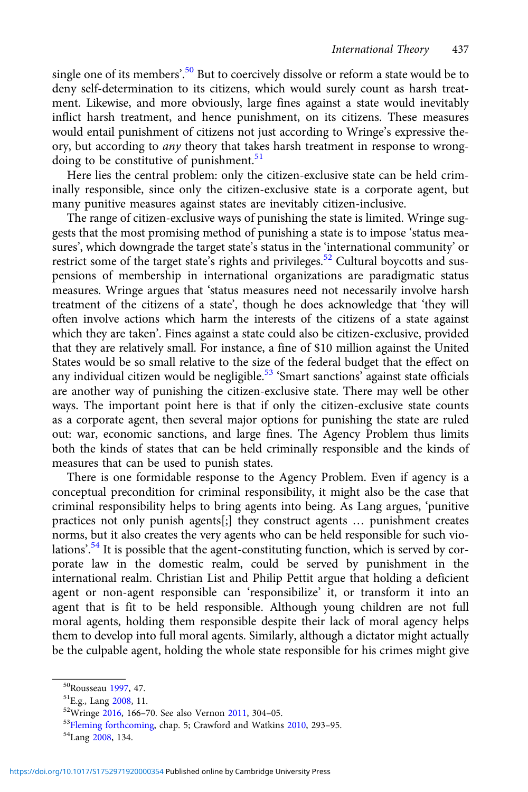single one of its members'.<sup>50</sup> But to coercively dissolve or reform a state would be to deny self-determination to its citizens, which would surely count as harsh treatment. Likewise, and more obviously, large fines against a state would inevitably inflict harsh treatment, and hence punishment, on its citizens. These measures would entail punishment of citizens not just according to Wringe's expressive theory, but according to any theory that takes harsh treatment in response to wrongdoing to be constitutive of punishment.<sup>51</sup>

Here lies the central problem: only the citizen-exclusive state can be held criminally responsible, since only the citizen-exclusive state is a corporate agent, but many punitive measures against states are inevitably citizen-inclusive.

The range of citizen-exclusive ways of punishing the state is limited. Wringe suggests that the most promising method of punishing a state is to impose 'status measures', which downgrade the target state's status in the 'international community' or restrict some of the target state's rights and privileges.<sup>52</sup> Cultural boycotts and suspensions of membership in international organizations are paradigmatic status measures. Wringe argues that 'status measures need not necessarily involve harsh treatment of the citizens of a state', though he does acknowledge that 'they will often involve actions which harm the interests of the citizens of a state against which they are taken'. Fines against a state could also be citizen-exclusive, provided that they are relatively small. For instance, a fine of \$10 million against the United States would be so small relative to the size of the federal budget that the effect on any individual citizen would be negligible.<sup>53</sup> 'Smart sanctions' against state officials are another way of punishing the citizen-exclusive state. There may well be other ways. The important point here is that if only the citizen-exclusive state counts as a corporate agent, then several major options for punishing the state are ruled out: war, economic sanctions, and large fines. The Agency Problem thus limits both the kinds of states that can be held criminally responsible and the kinds of measures that can be used to punish states.

There is one formidable response to the Agency Problem. Even if agency is a conceptual precondition for criminal responsibility, it might also be the case that criminal responsibility helps to bring agents into being. As Lang argues, 'punitive practices not only punish agents[;] they construct agents … punishment creates norms, but it also creates the very agents who can be held responsible for such violations'.<sup>54</sup> It is possible that the agent-constituting function, which is served by corporate law in the domestic realm, could be served by punishment in the international realm. Christian List and Philip Pettit argue that holding a deficient agent or non-agent responsible can 'responsibilize' it, or transform it into an agent that is fit to be held responsible. Although young children are not full moral agents, holding them responsible despite their lack of moral agency helps them to develop into full moral agents. Similarly, although a dictator might actually be the culpable agent, holding the whole state responsible for his crimes might give

<sup>&</sup>lt;sup>50</sup>Rousseau [1997,](#page-23-0) 47.<br><sup>51</sup>E.g., Lang [2008,](#page-22-0) 11.<br><sup>52</sup>Wringe [2016](#page-23-0), 166–70. See also Vernon [2011](#page-23-0), 304–05.<br><sup>53</sup>Fleming forthcoming, chap. 5; Crawford and Watkins [2010,](#page-21-0) 293–95.<br><sup>54</sup>Lang 2008, 134.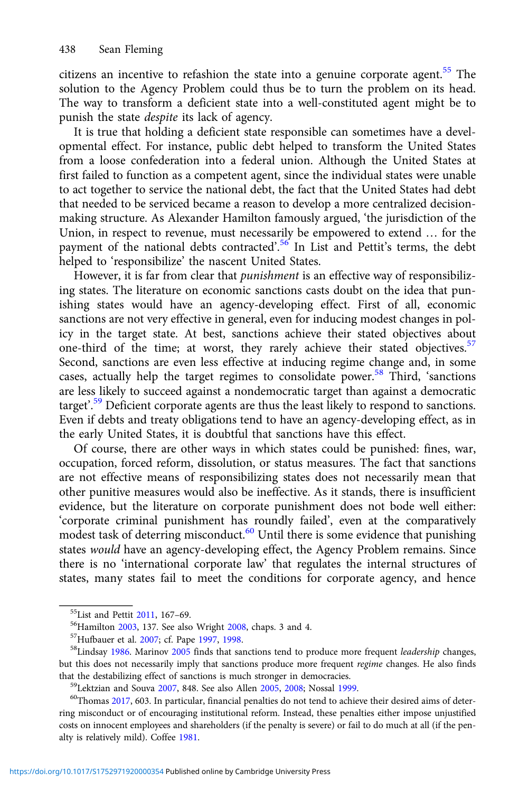citizens an incentive to refashion the state into a genuine corporate agent.<sup>55</sup> The solution to the Agency Problem could thus be to turn the problem on its head. The way to transform a deficient state into a well-constituted agent might be to punish the state despite its lack of agency.

It is true that holding a deficient state responsible can sometimes have a developmental effect. For instance, public debt helped to transform the United States from a loose confederation into a federal union. Although the United States at first failed to function as a competent agent, since the individual states were unable to act together to service the national debt, the fact that the United States had debt that needed to be serviced became a reason to develop a more centralized decisionmaking structure. As Alexander Hamilton famously argued, 'the jurisdiction of the Union, in respect to revenue, must necessarily be empowered to extend … for the payment of the national debts contracted'.<sup>56</sup> In List and Pettit's terms, the debt helped to 'responsibilize' the nascent United States.

However, it is far from clear that *punishment* is an effective way of responsibilizing states. The literature on economic sanctions casts doubt on the idea that punishing states would have an agency-developing effect. First of all, economic sanctions are not very effective in general, even for inducing modest changes in policy in the target state. At best, sanctions achieve their stated objectives about one-third of the time; at worst, they rarely achieve their stated objectives.<sup>57</sup> Second, sanctions are even less effective at inducing regime change and, in some cases, actually help the target regimes to consolidate power.<sup>58</sup> Third, 'sanctions are less likely to succeed against a nondemocratic target than against a democratic target'.<sup>59</sup> Deficient corporate agents are thus the least likely to respond to sanctions. Even if debts and treaty obligations tend to have an agency-developing effect, as in the early United States, it is doubtful that sanctions have this effect.

Of course, there are other ways in which states could be punished: fines, war, occupation, forced reform, dissolution, or status measures. The fact that sanctions are not effective means of responsibilizing states does not necessarily mean that other punitive measures would also be ineffective. As it stands, there is insufficient evidence, but the literature on corporate punishment does not bode well either: 'corporate criminal punishment has roundly failed', even at the comparatively modest task of deterring misconduct.<sup>60</sup> Until there is some evidence that punishing states would have an agency-developing effect, the Agency Problem remains. Since there is no 'international corporate law' that regulates the internal structures of states, many states fail to meet the conditions for corporate agency, and hence

<sup>&</sup>lt;sup>55</sup>List and Pettit [2011,](#page-22-0) 167–69.<br><sup>56</sup>Hamilton [2003,](#page-21-0) 137. See also Wright [2008,](#page-23-0) chaps. 3 and 4.<br><sup>57</sup>Hufbauer et al. [2007](#page-21-0); cf. Pape [1997](#page-22-0), [1998.](#page-22-0)<br><sup>58</sup>Lindsay [1986.](#page-22-0) Marinov [2005](#page-22-0) finds that sanctions tend to produce more frequ but this does not necessarily imply that sanctions produce more frequent regime changes. He also finds that the destabilizing effect of sanctions is much stronger in democracies.<br><sup>59</sup>Lektzian and Souva [2007](#page-22-0), 848. See also Allen [2005,](#page-20-0) [2008](#page-20-0); Nossal [1999.](#page-22-0)<br><sup>60</sup>Thomas [2017](#page-23-0), 603. In particular, financial penalties do not tend to

ring misconduct or of encouraging institutional reform. Instead, these penalties either impose unjustified costs on innocent employees and shareholders (if the penalty is severe) or fail to do much at all (if the penalty is relatively mild). Coffee [1981](#page-21-0).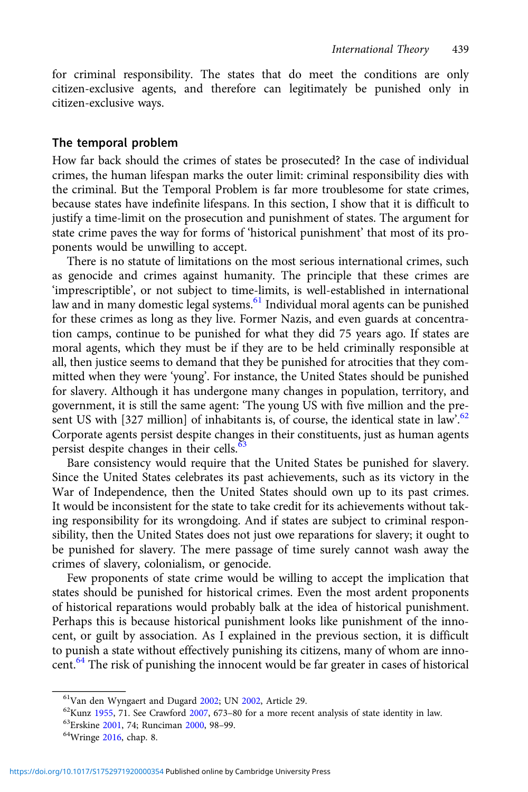for criminal responsibility. The states that do meet the conditions are only citizen-exclusive agents, and therefore can legitimately be punished only in citizen-exclusive ways.

#### The temporal problem

How far back should the crimes of states be prosecuted? In the case of individual crimes, the human lifespan marks the outer limit: criminal responsibility dies with the criminal. But the Temporal Problem is far more troublesome for state crimes, because states have indefinite lifespans. In this section, I show that it is difficult to justify a time-limit on the prosecution and punishment of states. The argument for state crime paves the way for forms of 'historical punishment' that most of its proponents would be unwilling to accept.

There is no statute of limitations on the most serious international crimes, such as genocide and crimes against humanity. The principle that these crimes are 'imprescriptible', or not subject to time-limits, is well-established in international law and in many domestic legal systems.<sup>61</sup> Individual moral agents can be punished for these crimes as long as they live. Former Nazis, and even guards at concentration camps, continue to be punished for what they did 75 years ago. If states are moral agents, which they must be if they are to be held criminally responsible at all, then justice seems to demand that they be punished for atrocities that they committed when they were 'young'. For instance, the United States should be punished for slavery. Although it has undergone many changes in population, territory, and government, it is still the same agent: 'The young US with five million and the present US with [327 million] of inhabitants is, of course, the identical state in law<sup>562</sup> Corporate agents persist despite changes in their constituents, just as human agents persist despite changes in their cells.<sup>63</sup>

Bare consistency would require that the United States be punished for slavery. Since the United States celebrates its past achievements, such as its victory in the War of Independence, then the United States should own up to its past crimes. It would be inconsistent for the state to take credit for its achievements without taking responsibility for its wrongdoing. And if states are subject to criminal responsibility, then the United States does not just owe reparations for slavery; it ought to be punished for slavery. The mere passage of time surely cannot wash away the crimes of slavery, colonialism, or genocide.

Few proponents of state crime would be willing to accept the implication that states should be punished for historical crimes. Even the most ardent proponents of historical reparations would probably balk at the idea of historical punishment. Perhaps this is because historical punishment looks like punishment of the innocent, or guilt by association. As I explained in the previous section, it is difficult to punish a state without effectively punishing its citizens, many of whom are innocent.<sup>64</sup> The risk of punishing the innocent would be far greater in cases of historical

<sup>&</sup>lt;sup>61</sup>Van den Wyngaert and Dugard [2002;](#page-23-0) UN [2002,](#page-23-0) Article 29.<br><sup>62</sup>Kunz [1955](#page-22-0), 71. See Crawford [2007,](#page-21-0) 673–80 for a more recent analysis of state identity in law. <sup>63</sup>Erskine [2001](#page-21-0), 74; Runciman [2000,](#page-23-0) 98–99. <sup>64</sup>Wringe [2016](#page-23-0), cha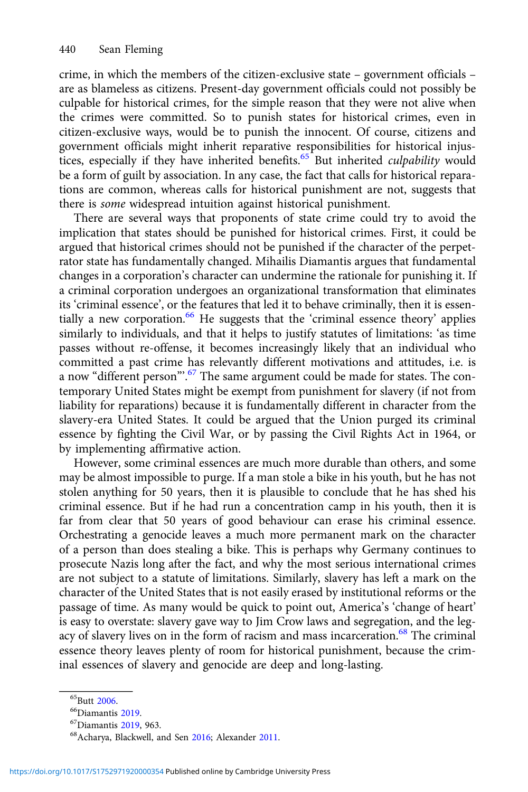crime, in which the members of the citizen-exclusive state – government officials – are as blameless as citizens. Present-day government officials could not possibly be culpable for historical crimes, for the simple reason that they were not alive when the crimes were committed. So to punish states for historical crimes, even in citizen-exclusive ways, would be to punish the innocent. Of course, citizens and government officials might inherit reparative responsibilities for historical injustices, especially if they have inherited benefits.<sup>65</sup> But inherited *culpability* would be a form of guilt by association. In any case, the fact that calls for historical reparations are common, whereas calls for historical punishment are not, suggests that there is some widespread intuition against historical punishment.

There are several ways that proponents of state crime could try to avoid the implication that states should be punished for historical crimes. First, it could be argued that historical crimes should not be punished if the character of the perpetrator state has fundamentally changed. Mihailis Diamantis argues that fundamental changes in a corporation's character can undermine the rationale for punishing it. If a criminal corporation undergoes an organizational transformation that eliminates its 'criminal essence', or the features that led it to behave criminally, then it is essentially a new corporation.<sup>66</sup> He suggests that the 'criminal essence theory' applies similarly to individuals, and that it helps to justify statutes of limitations: 'as time passes without re-offense, it becomes increasingly likely that an individual who committed a past crime has relevantly different motivations and attitudes, i.e. is a now "different person".<sup>67</sup> The same argument could be made for states. The contemporary United States might be exempt from punishment for slavery (if not from liability for reparations) because it is fundamentally different in character from the slavery-era United States. It could be argued that the Union purged its criminal essence by fighting the Civil War, or by passing the Civil Rights Act in 1964, or by implementing affirmative action.

However, some criminal essences are much more durable than others, and some may be almost impossible to purge. If a man stole a bike in his youth, but he has not stolen anything for 50 years, then it is plausible to conclude that he has shed his criminal essence. But if he had run a concentration camp in his youth, then it is far from clear that 50 years of good behaviour can erase his criminal essence. Orchestrating a genocide leaves a much more permanent mark on the character of a person than does stealing a bike. This is perhaps why Germany continues to prosecute Nazis long after the fact, and why the most serious international crimes are not subject to a statute of limitations. Similarly, slavery has left a mark on the character of the United States that is not easily erased by institutional reforms or the passage of time. As many would be quick to point out, America's 'change of heart' is easy to overstate: slavery gave way to Jim Crow laws and segregation, and the legacy of slavery lives on in the form of racism and mass incarceration.<sup>68</sup> The criminal essence theory leaves plenty of room for historical punishment, because the criminal essences of slavery and genocide are deep and long-lasting.

<sup>&</sup>lt;sup>65</sup>Butt [2006.](#page-20-0)<br><sup>66</sup>Diamantis [2019.](#page-21-0)<br><sup>67</sup>Diamantis [2019,](#page-21-0) 963.<br><sup>68</sup>Acharya, Blackwell, and Sen [2016;](#page-20-0) Alexander [2011.](#page-20-0)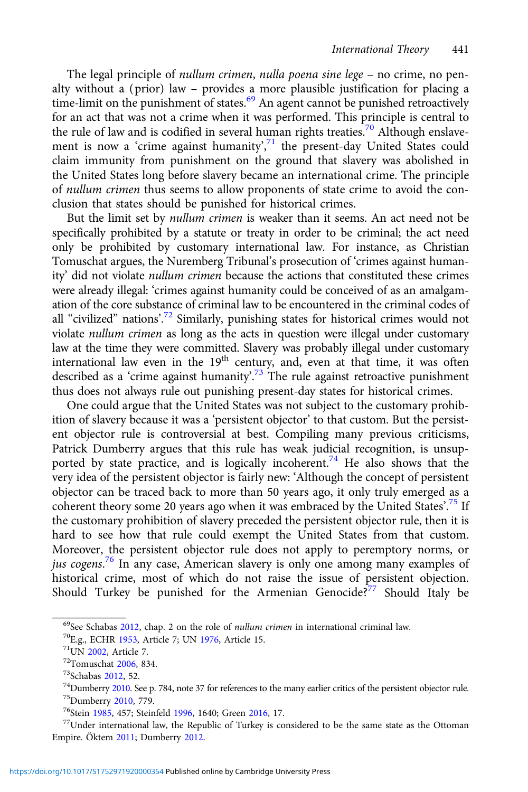The legal principle of nullum crimen, nulla poena sine lege - no crime, no penalty without a (prior) law – provides a more plausible justification for placing a time-limit on the punishment of states.<sup>69</sup> An agent cannot be punished retroactively for an act that was not a crime when it was performed. This principle is central to the rule of law and is codified in several human rights treaties.<sup>70</sup> Although enslavement is now a 'crime against humanity',<sup>71</sup> the present-day United States could claim immunity from punishment on the ground that slavery was abolished in the United States long before slavery became an international crime. The principle of nullum crimen thus seems to allow proponents of state crime to avoid the conclusion that states should be punished for historical crimes.

But the limit set by nullum crimen is weaker than it seems. An act need not be specifically prohibited by a statute or treaty in order to be criminal; the act need only be prohibited by customary international law. For instance, as Christian Tomuschat argues, the Nuremberg Tribunal's prosecution of 'crimes against humanity' did not violate nullum crimen because the actions that constituted these crimes were already illegal: 'crimes against humanity could be conceived of as an amalgamation of the core substance of criminal law to be encountered in the criminal codes of all "civilized" nations'.<sup>72</sup> Similarly, punishing states for historical crimes would not violate nullum crimen as long as the acts in question were illegal under customary law at the time they were committed. Slavery was probably illegal under customary international law even in the  $19<sup>th</sup>$  century, and, even at that time, it was often described as a 'crime against humanity'.<sup>73</sup> The rule against retroactive punishment thus does not always rule out punishing present-day states for historical crimes.

One could argue that the United States was not subject to the customary prohibition of slavery because it was a 'persistent objector' to that custom. But the persistent objector rule is controversial at best. Compiling many previous criticisms, Patrick Dumberry argues that this rule has weak judicial recognition, is unsupported by state practice, and is logically incoherent.<sup>74</sup> He also shows that the very idea of the persistent objector is fairly new: 'Although the concept of persistent objector can be traced back to more than 50 years ago, it only truly emerged as a coherent theory some 20 years ago when it was embraced by the United States'.<sup>75</sup> If the customary prohibition of slavery preceded the persistent objector rule, then it is hard to see how that rule could exempt the United States from that custom. Moreover, the persistent objector rule does not apply to peremptory norms, or jus cogens.<sup>76</sup> In any case, American slavery is only one among many examples of historical crime, most of which do not raise the issue of persistent objection. Should Turkey be punished for the Armenian Genocide? $\frac{3}{7}$  Should Italy be

<sup>&</sup>lt;sup>69</sup>See Schabas [2012](#page-23-0), chap. 2 on the role of *nullum crimen* in international criminal law.<br><sup>70</sup>E.g., ECHR [1953,](#page-21-0) Article 7; UN [1976](#page-23-0), Article 15.<br><sup>71</sup>UN [2002,](#page-23-0) Article 7.<br><sup>72</sup>Tomuschat [2006,](#page-23-0) 834.<br><sup>73</sup>Schabas 2012, 52.<br><sup>74</sup>D

Empire. Öktem [2011](#page-22-0); Dumberry [2012.](#page-21-0)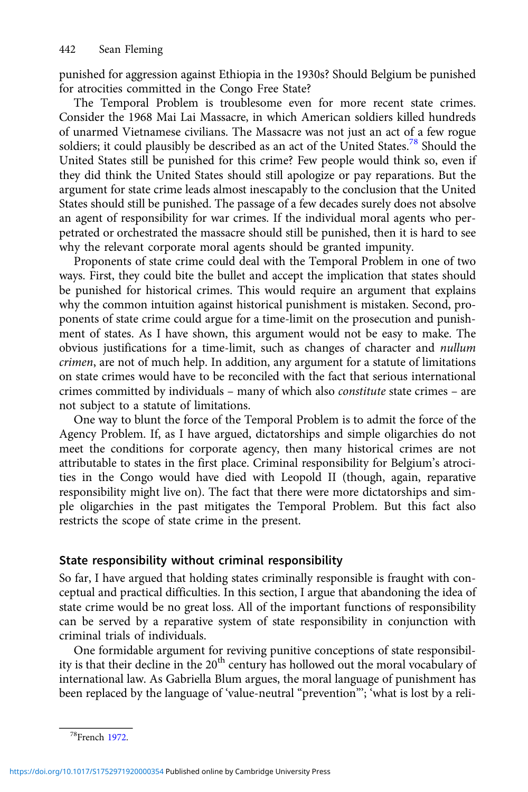punished for aggression against Ethiopia in the 1930s? Should Belgium be punished for atrocities committed in the Congo Free State?

The Temporal Problem is troublesome even for more recent state crimes. Consider the 1968 Mai Lai Massacre, in which American soldiers killed hundreds of unarmed Vietnamese civilians. The Massacre was not just an act of a few rogue soldiers; it could plausibly be described as an act of the United States.78 Should the United States still be punished for this crime? Few people would think so, even if they did think the United States should still apologize or pay reparations. But the argument for state crime leads almost inescapably to the conclusion that the United States should still be punished. The passage of a few decades surely does not absolve an agent of responsibility for war crimes. If the individual moral agents who perpetrated or orchestrated the massacre should still be punished, then it is hard to see why the relevant corporate moral agents should be granted impunity.

Proponents of state crime could deal with the Temporal Problem in one of two ways. First, they could bite the bullet and accept the implication that states should be punished for historical crimes. This would require an argument that explains why the common intuition against historical punishment is mistaken. Second, proponents of state crime could argue for a time-limit on the prosecution and punishment of states. As I have shown, this argument would not be easy to make. The obvious justifications for a time-limit, such as changes of character and nullum crimen, are not of much help. In addition, any argument for a statute of limitations on state crimes would have to be reconciled with the fact that serious international crimes committed by individuals – many of which also constitute state crimes – are not subject to a statute of limitations.

One way to blunt the force of the Temporal Problem is to admit the force of the Agency Problem. If, as I have argued, dictatorships and simple oligarchies do not meet the conditions for corporate agency, then many historical crimes are not attributable to states in the first place. Criminal responsibility for Belgium's atrocities in the Congo would have died with Leopold II (though, again, reparative responsibility might live on). The fact that there were more dictatorships and simple oligarchies in the past mitigates the Temporal Problem. But this fact also restricts the scope of state crime in the present.

#### State responsibility without criminal responsibility

So far, I have argued that holding states criminally responsible is fraught with conceptual and practical difficulties. In this section, I argue that abandoning the idea of state crime would be no great loss. All of the important functions of responsibility can be served by a reparative system of state responsibility in conjunction with criminal trials of individuals.

One formidable argument for reviving punitive conceptions of state responsibility is that their decline in the 20<sup>th</sup> century has hollowed out the moral vocabulary of international law. As Gabriella Blum argues, the moral language of punishment has been replaced by the language of 'value-neutral "prevention"'; 'what is lost by a reli-

<sup>78</sup>French [1972.](#page-21-0)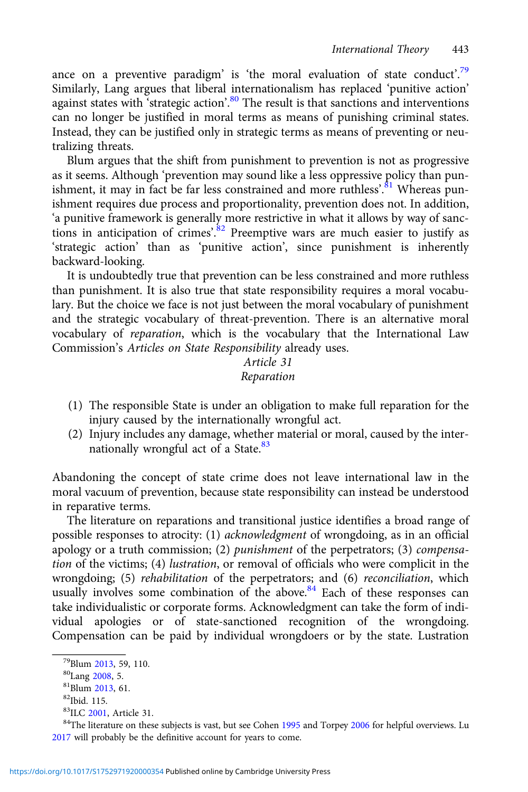ance on a preventive paradigm' is 'the moral evaluation of state conduct'.<sup>79</sup> Similarly, Lang argues that liberal internationalism has replaced 'punitive action' against states with 'strategic action'.<sup>80</sup> The result is that sanctions and interventions can no longer be justified in moral terms as means of punishing criminal states. Instead, they can be justified only in strategic terms as means of preventing or neutralizing threats.

Blum argues that the shift from punishment to prevention is not as progressive as it seems. Although 'prevention may sound like a less oppressive policy than punishment, it may in fact be far less constrained and more ruthless'.<sup>81</sup> Whereas punishment requires due process and proportionality, prevention does not. In addition, 'a punitive framework is generally more restrictive in what it allows by way of sanctions in anticipation of crimes'.<sup>82</sup> Preemptive wars are much easier to justify as 'strategic action' than as 'punitive action', since punishment is inherently backward-looking.

It is undoubtedly true that prevention can be less constrained and more ruthless than punishment. It is also true that state responsibility requires a moral vocabulary. But the choice we face is not just between the moral vocabulary of punishment and the strategic vocabulary of threat-prevention. There is an alternative moral vocabulary of reparation, which is the vocabulary that the International Law Commission's Articles on State Responsibility already uses.

## Article 31 Reparation

- (1) The responsible State is under an obligation to make full reparation for the injury caused by the internationally wrongful act.
- (2) Injury includes any damage, whether material or moral, caused by the internationally wrongful act of a State.<sup>83</sup>

Abandoning the concept of state crime does not leave international law in the moral vacuum of prevention, because state responsibility can instead be understood in reparative terms.

The literature on reparations and transitional justice identifies a broad range of possible responses to atrocity: (1) acknowledgment of wrongdoing, as in an official apology or a truth commission; (2) punishment of the perpetrators; (3) compensation of the victims; (4) lustration, or removal of officials who were complicit in the wrongdoing; (5) rehabilitation of the perpetrators; and (6) reconciliation, which usually involves some combination of the above. $84$  Each of these responses can take individualistic or corporate forms. Acknowledgment can take the form of individual apologies or of state-sanctioned recognition of the wrongdoing. Compensation can be paid by individual wrongdoers or by the state. Lustration

<sup>&</sup>lt;sup>79</sup>Blum [2013](#page-20-0), 59, 110.<br><sup>80</sup>Lang [2008,](#page-22-0) 5.<br><sup>81</sup>Blum 2013, 61.<br><sup>82</sup>Ibid. 115.<br><sup>83</sup>ILC 2001, Article 31.

<sup>&</sup>lt;sup>84</sup>The literature on these subjects is vast, but see Cohen [1995](#page-21-0) and Torpey [2006](#page-23-0) for helpful overviews. Lu [2017](#page-22-0) will probably be the definitive account for years to come.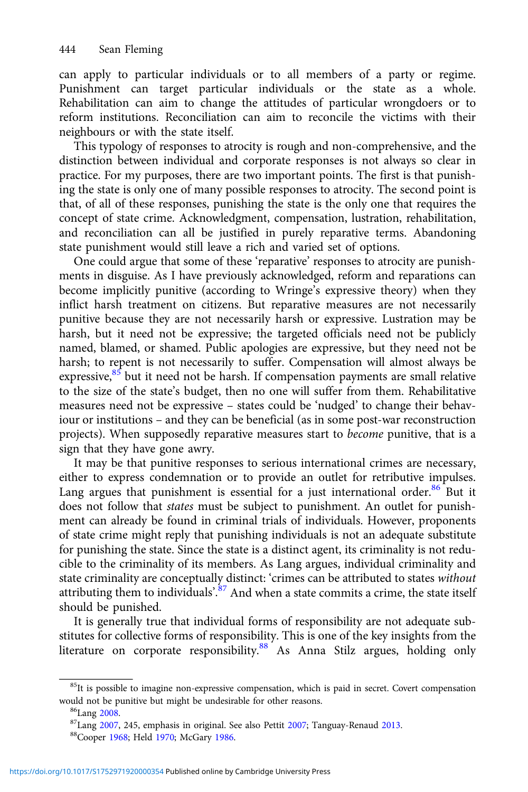can apply to particular individuals or to all members of a party or regime. Punishment can target particular individuals or the state as a whole. Rehabilitation can aim to change the attitudes of particular wrongdoers or to reform institutions. Reconciliation can aim to reconcile the victims with their neighbours or with the state itself.

This typology of responses to atrocity is rough and non-comprehensive, and the distinction between individual and corporate responses is not always so clear in practice. For my purposes, there are two important points. The first is that punishing the state is only one of many possible responses to atrocity. The second point is that, of all of these responses, punishing the state is the only one that requires the concept of state crime. Acknowledgment, compensation, lustration, rehabilitation, and reconciliation can all be justified in purely reparative terms. Abandoning state punishment would still leave a rich and varied set of options.

One could argue that some of these 'reparative' responses to atrocity are punishments in disguise. As I have previously acknowledged, reform and reparations can become implicitly punitive (according to Wringe's expressive theory) when they inflict harsh treatment on citizens. But reparative measures are not necessarily punitive because they are not necessarily harsh or expressive. Lustration may be harsh, but it need not be expressive; the targeted officials need not be publicly named, blamed, or shamed. Public apologies are expressive, but they need not be harsh; to repent is not necessarily to suffer. Compensation will almost always be expressive, $85$  but it need not be harsh. If compensation payments are small relative to the size of the state's budget, then no one will suffer from them. Rehabilitative measures need not be expressive – states could be 'nudged' to change their behaviour or institutions – and they can be beneficial (as in some post-war reconstruction projects). When supposedly reparative measures start to become punitive, that is a sign that they have gone awry.

It may be that punitive responses to serious international crimes are necessary, either to express condemnation or to provide an outlet for retributive impulses. Lang argues that punishment is essential for a just international order.<sup>86</sup> But it does not follow that *states* must be subject to punishment. An outlet for punishment can already be found in criminal trials of individuals. However, proponents of state crime might reply that punishing individuals is not an adequate substitute for punishing the state. Since the state is a distinct agent, its criminality is not reducible to the criminality of its members. As Lang argues, individual criminality and state criminality are conceptually distinct: 'crimes can be attributed to states without attributing them to individuals'.<sup>87</sup> And when a state commits a crime, the state itself should be punished.

It is generally true that individual forms of responsibility are not adequate substitutes for collective forms of responsibility. This is one of the key insights from the literature on corporate responsibility.<sup>88</sup> As Anna Stilz argues, holding only

 $85$ It is possible to imagine non-expressive compensation, which is paid in secret. Covert compensation would not be punitive but might be undesirable for other reasons.<br><sup>86</sup>Lang [2008.](#page-22-0) 87Lang [2007,](#page-22-0) 245, emphasis in original. See also Pettit [2007](#page-22-0); Tanguay-Renaud [2013.](#page-23-0)<br><sup>88</sup>Cooper [1968](#page-21-0); Held [1970](#page-21-0); McGary [1986.](#page-22-0)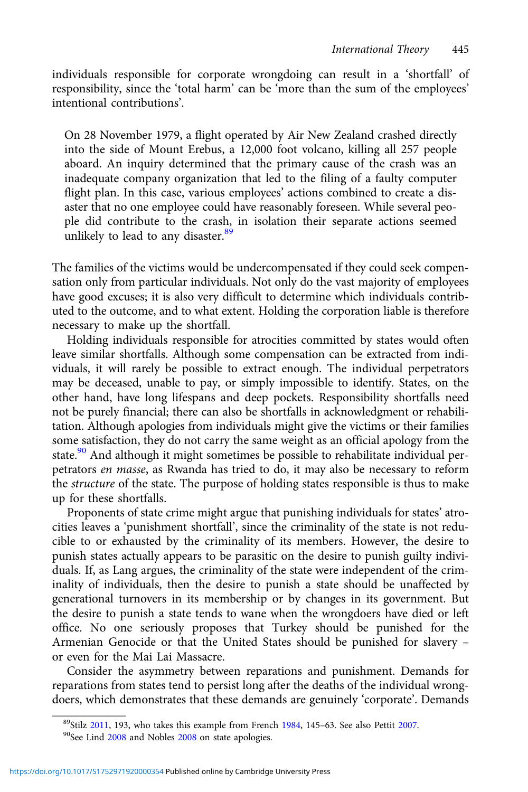individuals responsible for corporate wrongdoing can result in a 'shortfall' of responsibility, since the 'total harm' can be 'more than the sum of the employees' intentional contributions'.

On 28 November 1979, a flight operated by Air New Zealand crashed directly into the side of Mount Erebus, a 12,000 foot volcano, killing all 257 people aboard. An inquiry determined that the primary cause of the crash was an inadequate company organization that led to the filing of a faulty computer flight plan. In this case, various employees' actions combined to create a disaster that no one employee could have reasonably foreseen. While several people did contribute to the crash, in isolation their separate actions seemed unlikely to lead to any disaster.<sup>89</sup>

The families of the victims would be undercompensated if they could seek compensation only from particular individuals. Not only do the vast majority of employees have good excuses; it is also very difficult to determine which individuals contributed to the outcome, and to what extent. Holding the corporation liable is therefore necessary to make up the shortfall.

Holding individuals responsible for atrocities committed by states would often leave similar shortfalls. Although some compensation can be extracted from individuals, it will rarely be possible to extract enough. The individual perpetrators may be deceased, unable to pay, or simply impossible to identify. States, on the other hand, have long lifespans and deep pockets. Responsibility shortfalls need not be purely financial; there can also be shortfalls in acknowledgment or rehabilitation. Although apologies from individuals might give the victims or their families some satisfaction, they do not carry the same weight as an official apology from the state.<sup>90</sup> And although it might sometimes be possible to rehabilitate individual perpetrators en masse, as Rwanda has tried to do, it may also be necessary to reform the structure of the state. The purpose of holding states responsible is thus to make up for these shortfalls.

Proponents of state crime might argue that punishing individuals for states' atrocities leaves a 'punishment shortfall', since the criminality of the state is not reducible to or exhausted by the criminality of its members. However, the desire to punish states actually appears to be parasitic on the desire to punish guilty individuals. If, as Lang argues, the criminality of the state were independent of the criminality of individuals, then the desire to punish a state should be unaffected by generational turnovers in its membership or by changes in its government. But the desire to punish a state tends to wane when the wrongdoers have died or left office. No one seriously proposes that Turkey should be punished for the Armenian Genocide or that the United States should be punished for slavery – or even for the Mai Lai Massacre.

Consider the asymmetry between reparations and punishment. Demands for reparations from states tend to persist long after the deaths of the individual wrongdoers, which demonstrates that these demands are genuinely 'corporate'. Demands

 $89$ Stilz [2011,](#page-23-0) 193, who takes this example from French [1984](#page-21-0), 145–63. See also Pettit [2007](#page-22-0).<br> $90$ See Lind [2008](#page-22-0) and Nobles 2008 on state apologies.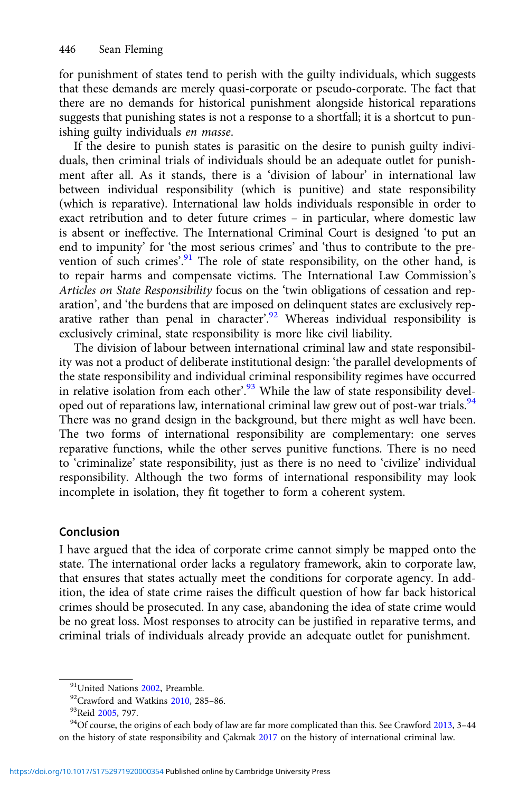for punishment of states tend to perish with the guilty individuals, which suggests that these demands are merely quasi-corporate or pseudo-corporate. The fact that there are no demands for historical punishment alongside historical reparations suggests that punishing states is not a response to a shortfall; it is a shortcut to punishing guilty individuals en masse.

If the desire to punish states is parasitic on the desire to punish guilty individuals, then criminal trials of individuals should be an adequate outlet for punishment after all. As it stands, there is a 'division of labour' in international law between individual responsibility (which is punitive) and state responsibility (which is reparative). International law holds individuals responsible in order to exact retribution and to deter future crimes – in particular, where domestic law is absent or ineffective. The International Criminal Court is designed 'to put an end to impunity' for 'the most serious crimes' and 'thus to contribute to the prevention of such crimes'.<sup>91</sup> The role of state responsibility, on the other hand, is to repair harms and compensate victims. The International Law Commission's Articles on State Responsibility focus on the 'twin obligations of cessation and reparation', and 'the burdens that are imposed on delinquent states are exclusively reparative rather than penal in character'.<sup>92</sup> Whereas individual responsibility is exclusively criminal, state responsibility is more like civil liability.

The division of labour between international criminal law and state responsibility was not a product of deliberate institutional design: 'the parallel developments of the state responsibility and individual criminal responsibility regimes have occurred in relative isolation from each other'.<sup>93</sup> While the law of state responsibility developed out of reparations law, international criminal law grew out of post-war trials.<sup>94</sup> There was no grand design in the background, but there might as well have been. The two forms of international responsibility are complementary: one serves reparative functions, while the other serves punitive functions. There is no need to 'criminalize' state responsibility, just as there is no need to 'civilize' individual responsibility. Although the two forms of international responsibility may look incomplete in isolation, they fit together to form a coherent system.

### Conclusion

I have argued that the idea of corporate crime cannot simply be mapped onto the state. The international order lacks a regulatory framework, akin to corporate law, that ensures that states actually meet the conditions for corporate agency. In addition, the idea of state crime raises the difficult question of how far back historical crimes should be prosecuted. In any case, abandoning the idea of state crime would be no great loss. Most responses to atrocity can be justified in reparative terms, and criminal trials of individuals already provide an adequate outlet for punishment.

<sup>&</sup>lt;sup>91</sup>United Nations [2002,](#page-23-0) Preamble.<br><sup>92</sup>Crawford and Watkins [2010,](#page-21-0) 285–86.<br><sup>93</sup>Reid [2005](#page-23-0), 797.<br><sup>94</sup>Of course, the origins of each body of law are far more complicated than this. See Crawford [2013](#page-21-0), 3–44 on the history of state responsibility and Çakmak [2017](#page-21-0) on the history of international criminal law.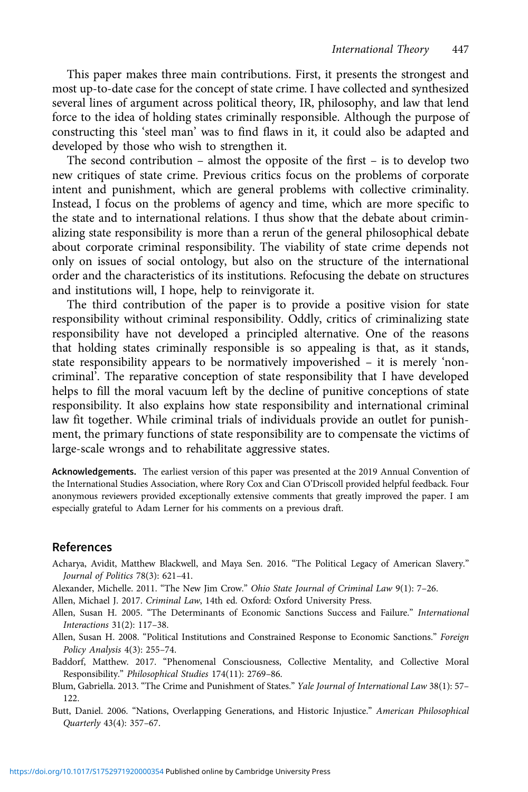<span id="page-20-0"></span>This paper makes three main contributions. First, it presents the strongest and most up-to-date case for the concept of state crime. I have collected and synthesized several lines of argument across political theory, IR, philosophy, and law that lend force to the idea of holding states criminally responsible. Although the purpose of constructing this 'steel man' was to find flaws in it, it could also be adapted and developed by those who wish to strengthen it.

The second contribution – almost the opposite of the first – is to develop two new critiques of state crime. Previous critics focus on the problems of corporate intent and punishment, which are general problems with collective criminality. Instead, I focus on the problems of agency and time, which are more specific to the state and to international relations. I thus show that the debate about criminalizing state responsibility is more than a rerun of the general philosophical debate about corporate criminal responsibility. The viability of state crime depends not only on issues of social ontology, but also on the structure of the international order and the characteristics of its institutions. Refocusing the debate on structures and institutions will, I hope, help to reinvigorate it.

The third contribution of the paper is to provide a positive vision for state responsibility without criminal responsibility. Oddly, critics of criminalizing state responsibility have not developed a principled alternative. One of the reasons that holding states criminally responsible is so appealing is that, as it stands, state responsibility appears to be normatively impoverished – it is merely 'noncriminal'. The reparative conception of state responsibility that I have developed helps to fill the moral vacuum left by the decline of punitive conceptions of state responsibility. It also explains how state responsibility and international criminal law fit together. While criminal trials of individuals provide an outlet for punishment, the primary functions of state responsibility are to compensate the victims of large-scale wrongs and to rehabilitate aggressive states.

Acknowledgements. The earliest version of this paper was presented at the 2019 Annual Convention of the International Studies Association, where Rory Cox and Cian O'Driscoll provided helpful feedback. Four anonymous reviewers provided exceptionally extensive comments that greatly improved the paper. I am especially grateful to Adam Lerner for his comments on a previous draft.

### References

- Acharya, Avidit, Matthew Blackwell, and Maya Sen. 2016. "The Political Legacy of American Slavery." Journal of Politics 78(3): 621–41.
- Alexander, Michelle. 2011. "The New Jim Crow." Ohio State Journal of Criminal Law 9(1): 7–26.

Allen, Michael J. 2017. Criminal Law, 14th ed. Oxford: Oxford University Press.

Allen, Susan H. 2005. "The Determinants of Economic Sanctions Success and Failure." International Interactions 31(2): 117–38.

Allen, Susan H. 2008. "Political Institutions and Constrained Response to Economic Sanctions." Foreign Policy Analysis 4(3): 255–74.

- Baddorf, Matthew. 2017. "Phenomenal Consciousness, Collective Mentality, and Collective Moral Responsibility." Philosophical Studies 174(11): 2769–86.
- Blum, Gabriella. 2013. "The Crime and Punishment of States." Yale Journal of International Law 38(1): 57– 122.
- Butt, Daniel. 2006. "Nations, Overlapping Generations, and Historic Injustice." American Philosophical Quarterly 43(4): 357–67.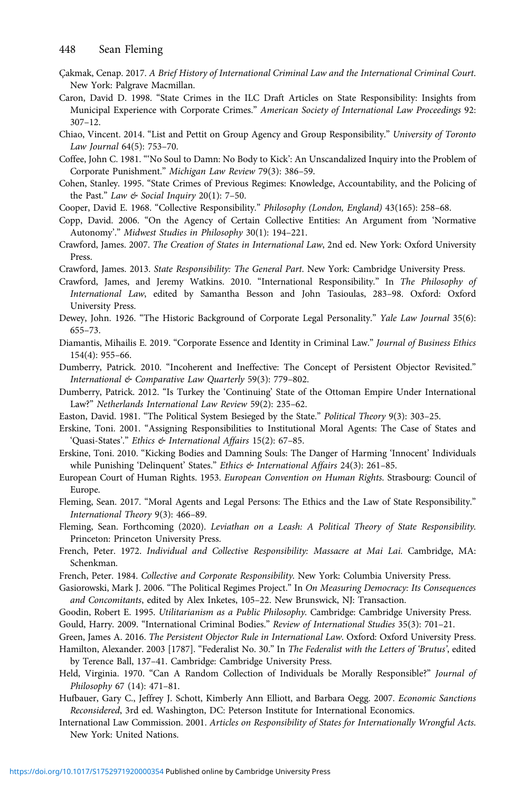- <span id="page-21-0"></span>Çakmak, Cenap. 2017. A Brief History of International Criminal Law and the International Criminal Court. New York: Palgrave Macmillan.
- Caron, David D. 1998. "State Crimes in the ILC Draft Articles on State Responsibility: Insights from Municipal Experience with Corporate Crimes." American Society of International Law Proceedings 92: 307–12.
- Chiao, Vincent. 2014. "List and Pettit on Group Agency and Group Responsibility." University of Toronto Law Journal 64(5): 753–70.

Coffee, John C. 1981. "'No Soul to Damn: No Body to Kick': An Unscandalized Inquiry into the Problem of Corporate Punishment." Michigan Law Review 79(3): 386–59.

- Cohen, Stanley. 1995. "State Crimes of Previous Regimes: Knowledge, Accountability, and the Policing of the Past." Law  $\&$  Social Inquiry 20(1): 7-50.
- Cooper, David E. 1968. "Collective Responsibility." Philosophy (London, England) 43(165): 258–68.
- Copp, David. 2006. "On the Agency of Certain Collective Entities: An Argument from 'Normative Autonomy'." Midwest Studies in Philosophy 30(1): 194–221.
- Crawford, James. 2007. The Creation of States in International Law, 2nd ed. New York: Oxford University Press.
- Crawford, James. 2013. State Responsibility: The General Part. New York: Cambridge University Press.
- Crawford, James, and Jeremy Watkins. 2010. "International Responsibility." In The Philosophy of International Law, edited by Samantha Besson and John Tasioulas, 283–98. Oxford: Oxford University Press.
- Dewey, John. 1926. "The Historic Background of Corporate Legal Personality." Yale Law Journal 35(6): 655–73.
- Diamantis, Mihailis E. 2019. "Corporate Essence and Identity in Criminal Law." Journal of Business Ethics 154(4): 955–66.
- Dumberry, Patrick. 2010. "Incoherent and Ineffective: The Concept of Persistent Objector Revisited." International & Comparative Law Quarterly 59(3): 779–802.
- Dumberry, Patrick. 2012. "Is Turkey the 'Continuing' State of the Ottoman Empire Under International Law?" Netherlands International Law Review 59(2): 235–62.
- Easton, David. 1981. "The Political System Besieged by the State." Political Theory 9(3): 303–25.
- Erskine, Toni. 2001. "Assigning Responsibilities to Institutional Moral Agents: The Case of States and 'Quasi-States'." Ethics & International Affairs 15(2): 67–85.
- Erskine, Toni. 2010. "Kicking Bodies and Damning Souls: The Danger of Harming 'Innocent' Individuals while Punishing 'Delinquent' States." Ethics & International Affairs 24(3): 261-85.
- European Court of Human Rights. 1953. European Convention on Human Rights. Strasbourg: Council of Europe.
- Fleming, Sean. 2017. "Moral Agents and Legal Persons: The Ethics and the Law of State Responsibility." International Theory 9(3): 466–89.
- Fleming, Sean. Forthcoming (2020). Leviathan on a Leash: A Political Theory of State Responsibility. Princeton: Princeton University Press.
- French, Peter. 1972. Individual and Collective Responsibility: Massacre at Mai Lai. Cambridge, MA: Schenkman.
- French, Peter. 1984. Collective and Corporate Responsibility. New York: Columbia University Press.
- Gasiorowski, Mark J. 2006. "The Political Regimes Project." In On Measuring Democracy: Its Consequences and Concomitants, edited by Alex Inketes, 105–22. New Brunswick, NJ: Transaction.
- Goodin, Robert E. 1995. Utilitarianism as a Public Philosophy. Cambridge: Cambridge University Press.
- Gould, Harry. 2009. "International Criminal Bodies." Review of International Studies 35(3): 701–21.
- Green, James A. 2016. The Persistent Objector Rule in International Law. Oxford: Oxford University Press.
- Hamilton, Alexander. 2003 [1787]. "Federalist No. 30." In The Federalist with the Letters of 'Brutus', edited by Terence Ball, 137–41. Cambridge: Cambridge University Press.
- Held, Virginia. 1970. "Can A Random Collection of Individuals be Morally Responsible?" Journal of Philosophy 67 (14): 471–81.
- Hufbauer, Gary C., Jeffrey J. Schott, Kimberly Ann Elliott, and Barbara Oegg. 2007. Economic Sanctions Reconsidered, 3rd ed. Washington, DC: Peterson Institute for International Economics.
- International Law Commission. 2001. Articles on Responsibility of States for Internationally Wrongful Acts. New York: United Nations.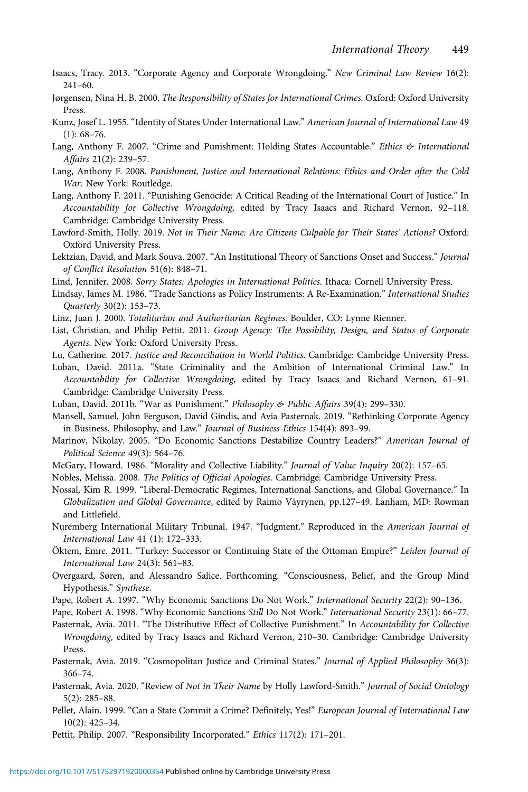- <span id="page-22-0"></span>Isaacs, Tracy. 2013. "Corporate Agency and Corporate Wrongdoing." New Criminal Law Review 16(2): 241–60.
- Jørgensen, Nina H. B. 2000. The Responsibility of States for International Crimes. Oxford: Oxford University Press.
- Kunz, Josef L. 1955. "Identity of States Under International Law." American Journal of International Law 49 (1): 68–76.
- Lang, Anthony F. 2007. "Crime and Punishment: Holding States Accountable." Ethics & International Affairs 21(2): 239–57.
- Lang, Anthony F. 2008. Punishment, Justice and International Relations: Ethics and Order after the Cold War. New York: Routledge.
- Lang, Anthony F. 2011. "Punishing Genocide: A Critical Reading of the International Court of Justice." In Accountability for Collective Wrongdoing, edited by Tracy Isaacs and Richard Vernon, 92–118. Cambridge: Cambridge University Press.
- Lawford-Smith, Holly. 2019. Not in Their Name: Are Citizens Culpable for Their States' Actions? Oxford: Oxford University Press.
- Lektzian, David, and Mark Souva. 2007. "An Institutional Theory of Sanctions Onset and Success." Journal of Conflict Resolution 51(6): 848–71.
- Lind, Jennifer. 2008. Sorry States: Apologies in International Politics. Ithaca: Cornell University Press.
- Lindsay, James M. 1986. "Trade Sanctions as Policy Instruments: A Re-Examination." International Studies Quarterly 30(2): 153–73.
- Linz, Juan J. 2000. Totalitarian and Authoritarian Regimes. Boulder, CO: Lynne Rienner.
- List, Christian, and Philip Pettit. 2011. Group Agency: The Possibility, Design, and Status of Corporate Agents. New York: Oxford University Press.
- Lu, Catherine. 2017. Justice and Reconciliation in World Politics. Cambridge: Cambridge University Press.
- Luban, David. 2011a. "State Criminality and the Ambition of International Criminal Law." In Accountability for Collective Wrongdoing, edited by Tracy Isaacs and Richard Vernon, 61–91. Cambridge: Cambridge University Press.
- Luban, David. 2011b. "War as Punishment." Philosophy & Public Affairs 39(4): 299–330.
- Mansell, Samuel, John Ferguson, David Gindis, and Avia Pasternak. 2019. "Rethinking Corporate Agency in Business, Philosophy, and Law." Journal of Business Ethics 154(4): 893–99.
- Marinov, Nikolay. 2005. "Do Economic Sanctions Destabilize Country Leaders?" American Journal of Political Science 49(3): 564–76.
- McGary, Howard. 1986. "Morality and Collective Liability." Journal of Value Inquiry 20(2): 157–65.
- Nobles, Melissa. 2008. The Politics of Official Apologies. Cambridge: Cambridge University Press.
- Nossal, Kim R. 1999. "Liberal-Democratic Regimes, International Sanctions, and Global Governance." In Globalization and Global Governance, edited by Raimo Väyrynen, pp.127–49. Lanham, MD: Rowman and Littlefield.
- Nuremberg International Military Tribunal. 1947. "Judgment." Reproduced in the American Journal of International Law 41 (1): 172–333.
- Öktem, Emre. 2011. "Turkey: Successor or Continuing State of the Ottoman Empire?" Leiden Journal of International Law 24(3): 561–83.
- Overgaard, Søren, and Alessandro Salice. Forthcoming. "Consciousness, Belief, and the Group Mind Hypothesis." Synthese.
- Pape, Robert A. 1997. "Why Economic Sanctions Do Not Work." International Security 22(2): 90–136.
- Pape, Robert A. 1998. "Why Economic Sanctions Still Do Not Work." International Security 23(1): 66–77.
- Pasternak, Avia. 2011. "The Distributive Effect of Collective Punishment." In Accountability for Collective Wrongdoing, edited by Tracy Isaacs and Richard Vernon, 210–30. Cambridge: Cambridge University Press.
- Pasternak, Avia. 2019. "Cosmopolitan Justice and Criminal States." Journal of Applied Philosophy 36(3): 366–74.
- Pasternak, Avia. 2020. "Review of Not in Their Name by Holly Lawford-Smith." Journal of Social Ontology 5(2): 285–88.
- Pellet, Alain. 1999. "Can a State Commit a Crime? Definitely, Yes!" European Journal of International Law 10(2): 425–34.
- Pettit, Philip. 2007. "Responsibility Incorporated." Ethics 117(2): 171–201.